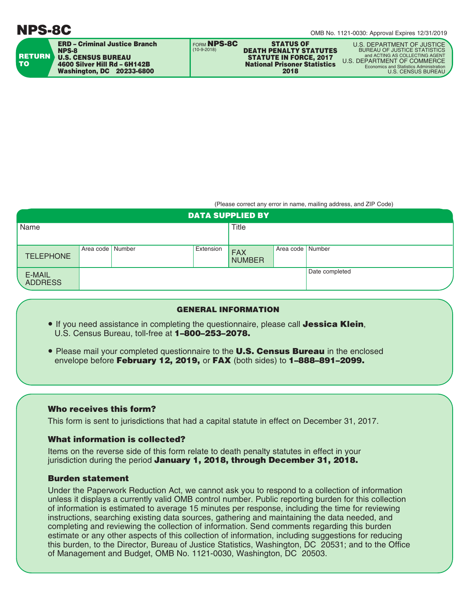

(Please correct any error in name, mailing address, and ZIP Code)

| <b>DATA SUPPLIED BY</b>  |                    |  |           |                             |                    |                |  |
|--------------------------|--------------------|--|-----------|-----------------------------|--------------------|----------------|--|
| Name                     |                    |  | Title     |                             |                    |                |  |
|                          |                    |  |           |                             |                    |                |  |
| <b>TELEPHONE</b>         | Area code   Number |  | Extension | <b>FAX</b><br><b>NUMBER</b> | Area code   Number |                |  |
| E-MAIL<br><b>ADDRESS</b> |                    |  |           |                             |                    | Date completed |  |

## GENERAL INFORMATION

- If you need assistance in completing the questionnaire, please call **Jessica Klein**, U.S. Census Bureau, toll-free at 1–800–253–2078.
- Please mail your completed questionnaire to the **U.S. Census Bureau** in the enclosed envelope before February 12, 2019, or FAX (both sides) to 1-888-891-2099.

# Who receives this form?

This form is sent to jurisdictions that had a capital statute in effect on December 31, 2017.

# What information is collected?

Items on the reverse side of this form relate to death penalty statutes in effect in your jurisdiction during the period January 1, 2018, through December 31, 2018.

## Burden statement

Under the Paperwork Reduction Act, we cannot ask you to respond to a collection of information unless it displays a currently valid OMB control number. Public reporting burden for this collection of information is estimated to average 15 minutes per response, including the time for reviewing instructions, searching existing data sources, gathering and maintaining the data needed, and completing and reviewing the collection of information. Send comments regarding this burden estimate or any other aspects of this collection of information, including suggestions for reducing this burden, to the Director, Bureau of Justice Statistics, Washington, DC 20531; and to the Office of Management and Budget, OMB No. 1121-0030, Washington, DC 20503.